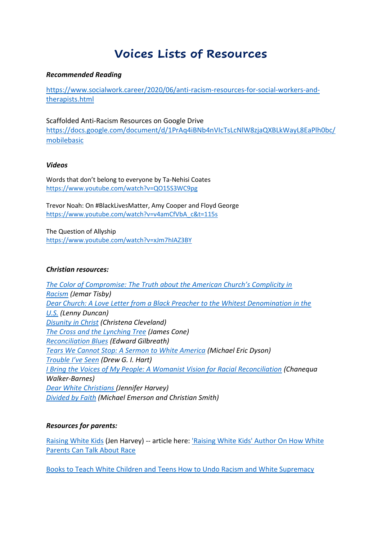# **Voices Lists of Resources**

## *Recommended Reading*

[https://www.socialwork.career/2020/06/anti-racism-resources-for-social-workers-and](https://www.socialwork.career/2020/06/anti-racism-resources-for-social-workers-and-therapists.html)[therapists.html](https://www.socialwork.career/2020/06/anti-racism-resources-for-social-workers-and-therapists.html)

Scaffolded Anti-Racism Resources on Google Drive [https://docs.google.com/document/d/1PrAq4iBNb4nVIcTsLcNlW8zjaQXBLkWayL8EaPlh0bc/](https://docs.google.com/document/d/1PrAq4iBNb4nVIcTsLcNlW8zjaQXBLkWayL8EaPlh0bc/mobilebasic) [mobilebasic](https://docs.google.com/document/d/1PrAq4iBNb4nVIcTsLcNlW8zjaQXBLkWayL8EaPlh0bc/mobilebasic)

#### *Videos*

Words that don't belong to everyone by Ta-Nehisi Coates <https://www.youtube.com/watch?v=QO15S3WC9pg>

Trevor Noah: On #BlackLivesMatter, Amy Cooper and Floyd George [https://www.youtube.com/watch?v=v4amCfVbA\\_c&t=115s](https://www.youtube.com/watch?v=v4amCfVbA_c&t=115s)

The Question of Allyship <https://www.youtube.com/watch?v=xJm7hIAZ3BY>

## *Christian resources:*

*[The Color of Compromise: The Truth about the American Church's Complicity in](https://www.google.com/url?q=https://www.google.com/url?q%3Dhttps://www.thecolorofcompromise.com%26amp;sa%3DD%26amp;ust%3D1594240756882000%26amp;usg%3DAOvVaw1GLARUdoh2zts9KTsh2ReV&sa=D&ust=1594240756977000&usg=AFQjCNGIFJRA3BdQ8yZbGQMxVwVvJdNiOA)  [Racism](https://www.google.com/url?q=https://www.google.com/url?q%3Dhttps://www.thecolorofcompromise.com%26amp;sa%3DD%26amp;ust%3D1594240756882000%26amp;usg%3DAOvVaw1GLARUdoh2zts9KTsh2ReV&sa=D&ust=1594240756977000&usg=AFQjCNGIFJRA3BdQ8yZbGQMxVwVvJdNiOA) (Jemar Tisby) [Dear Church: A Love Letter from a Black Preacher to the Whitest Denomination in the](https://www.google.com/url?q=https://www.google.com/url?q%3Dhttps://lennyduncan.com/order-dear-church%26amp;sa%3DD%26amp;ust%3D1594240756883000%26amp;usg%3DAOvVaw3N4wI84F4cu6p1bsrIboxK&sa=D&ust=1594240756978000&usg=AFQjCNGL2XOMK9yF6uhAPyN_B2iVzxxkqQ)  [U.S.](https://www.google.com/url?q=https://www.google.com/url?q%3Dhttps://lennyduncan.com/order-dear-church%26amp;sa%3DD%26amp;ust%3D1594240756883000%26amp;usg%3DAOvVaw3N4wI84F4cu6p1bsrIboxK&sa=D&ust=1594240756978000&usg=AFQjCNGL2XOMK9yF6uhAPyN_B2iVzxxkqQ) (Lenny Duncan) [Disunity in Christ](https://www.google.com/url?q=https://www.google.com/url?q%3Dhttps://www.ivpress.com/disunity-in-christ%26amp;sa%3DD%26amp;ust%3D1594240756884000%26amp;usg%3DAOvVaw0lz60uzaGnzwUtW0B8HCHu&sa=D&ust=1594240756978000&usg=AFQjCNEPvQIQm_qtkFJyHzC_3bzx5h3LzQ) (Christena Cleveland) [The Cross and the Lynching Tree](https://www.google.com/url?q=https://www.google.com/url?q%3Dhttps://www.orbisbooks.com/the-cross-and-the-lynching-tree.html%26amp;sa%3DD%26amp;ust%3D1594240756885000%26amp;usg%3DAOvVaw1R8iodHt_7T96iMWrkd9ZN&sa=D&ust=1594240756978000&usg=AFQjCNH40yn-to8E_1XF-CFJGB2u5tmMwQ) (James Cone) [Reconciliation Blues](https://www.google.com/url?q=https://www.google.com/url?q%3Dhttps://www.ivpress.com/reconciliation-blues%26amp;sa%3DD%26amp;ust%3D1594240756885000%26amp;usg%3DAOvVaw3EHAlfLcIixQW_u0Xjt0ln&sa=D&ust=1594240756978000&usg=AFQjCNEAVMoR06ukm1mx2w2cXnZbEh7MTA) (Edward Gilbreath) [Tears We Cannot Stop: A Sermon to White America](https://www.google.com/url?q=https://www.google.com/url?q%3Dhttps://us.macmillan.com/books/9781250135995%26amp;sa%3DD%26amp;ust%3D1594240756886000%26amp;usg%3DAOvVaw2e3EoZ-q_lEElOwwL92FQY&sa=D&ust=1594240756978000&usg=AFQjCNGbLEB5WZ59zFV6OP287gBiRdmtYA) (Michael Eric Dyson) [Trouble I've Seen](https://www.google.com/url?q=https://www.google.com/url?q%3Dhttps://heraldpress.com/books/trouble-ive-seen/%26amp;sa%3DD%26amp;ust%3D1594240756886000%26amp;usg%3DAOvVaw3MVkFMc9bawTs4fk24juiK&sa=D&ust=1594240756978000&usg=AFQjCNE6EeoHked8xzUwbOlZr5R9_q1JuA) (Drew G. I. Hart) [I](https://www.google.com/url?q=https://www.google.com/url?q%3Dhttps://www.indiebound.org/book/9780802877208?aff%253DCCFW%26amp;sa%3DD%26amp;ust%3D1594240756887000%26amp;usg%3DAOvVaw3s6s3eR81M3h5S5c_YQeQg&sa=D&ust=1594240756978000&usg=AFQjCNGRAVz-qR-bs8I9Bs5BNcHIE0GZPg) [Bring the Voices of My People: A Womanist Vision for Racial Reconciliation](https://www.google.com/url?q=https://www.google.com/url?q%3Dhttps://www.indiebound.org/book/9780802877208?aff%253DCCFW%26amp;sa%3DD%26amp;ust%3D1594240756888000%26amp;usg%3DAOvVaw3gIGIguePwZKc03KGHuRXL&sa=D&ust=1594240756978000&usg=AFQjCNFQwi2mgyrH26M1Am25uKzFLXQ7pQ) (Chanequa Walker-Barnes) [Dear White Christians](https://www.google.com/url?q=https://www.google.com/url?q%3Dhttps://www.eerdmans.com/Products/7207/dear-white-christians.aspx%26amp;sa%3DD%26amp;ust%3D1594240756888000%26amp;usg%3DAOvVaw0hKu-VMZHCZL1igcDYw5TD&sa=D&ust=1594240756978000&usg=AFQjCNEKsE574pZudd-AMnnvJryVI0CfLQ) [\(](https://www.google.com/url?q=https://www.google.com/url?q%3Dhttps://www.eerdmans.com/Products/7207/dear-white-christians.aspx%26amp;sa%3DD%26amp;ust%3D1594240756889000%26amp;usg%3DAOvVaw24tCD8qaJGp6pNSeeu5ikE&sa=D&ust=1594240756978000&usg=AFQjCNEtDju-Uwzyuh5R5tI9MeJKTDwl0g)Jennifer Harvey) [Divided by Faith](https://www.google.com/url?q=https://www.google.com/url?q%3Dhttps://global.oup.com/academic/product/divided-by-faith-9780195147070?cc%253Dus%2526lang%253Den%2526%26amp;sa%3DD%26amp;ust%3D1594240756889000%26amp;usg%3DAOvVaw18cJpX3bH3sOhZzsnnrnhF&sa=D&ust=1594240756978000&usg=AFQjCNHv7iRGaZMm3FpcmFF9HLM4LjcOgw) (Michael Emerson and Christian Smith)*

# *Resources for parents:*

[Raising White Kids](https://www.google.com/url?q=https://www.google.com/url?q%3Dhttps://www.abingdonpress.com/product/9781501856426/%26amp;sa%3DD%26amp;ust%3D1594240756917000%26amp;usg%3DAOvVaw3oYEYz8KdMML86fCoRwF0h&sa=D&ust=1594240756982000&usg=AFQjCNErUgVNXy88qd-ZILrUDqWwn2sLbg) (Jen Harvey) -- article here: ['Raising White Kids' Author On How White](https://www.google.com/url?q=https://www.google.com/url?q%3Dhttps://www.npr.org/2020/05/31/866426170/raising-white-kids-author-on-how-white-parents-can-talk-about-race%26amp;sa%3DD%26amp;ust%3D1594240756918000%26amp;usg%3DAOvVaw2iTCg1tD3TuBujKYWOkLbp&sa=D&ust=1594240756982000&usg=AFQjCNEk5D-cMoT3HolXkiwHj5RVeSQxSA)  [Parents Can Talk About Race](https://www.google.com/url?q=https://www.google.com/url?q%3Dhttps://www.npr.org/2020/05/31/866426170/raising-white-kids-author-on-how-white-parents-can-talk-about-race%26amp;sa%3DD%26amp;ust%3D1594240756918000%26amp;usg%3DAOvVaw2iTCg1tD3TuBujKYWOkLbp&sa=D&ust=1594240756982000&usg=AFQjCNEk5D-cMoT3HolXkiwHj5RVeSQxSA)

[Books to Teach White Children and Teens How to Undo Racism and White Supremacy](https://www.google.com/url?q=https://www.google.com/url?q%3Dhttps://www.charisbooksandmore.com/books-teach-white-children-and-teens-how-undo-racism-and-white-supremacy%26amp;sa%3DD%26amp;ust%3D1594240756918000%26amp;usg%3DAOvVaw0SIrrCVyIiasqYyL8SFSjo&sa=D&ust=1594240756982000&usg=AFQjCNFOMpyRtexrrqNwiRLUlGAf0M8npw)